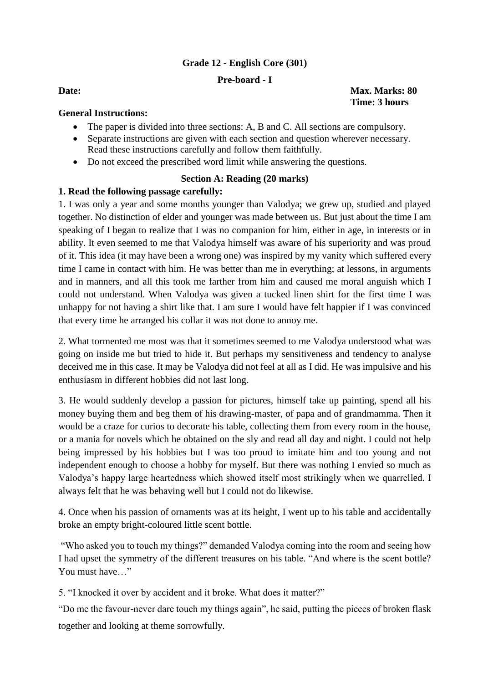# **Grade 12 - English Core (301)**

# **Pre-board - I**

**Date:** Max. Marks: 80 **Time: 3 hours**

## **General Instructions:**

- The paper is divided into three sections: A, B and C. All sections are compulsory.
- Separate instructions are given with each section and question wherever necessary. Read these instructions carefully and follow them faithfully.
- Do not exceed the prescribed word limit while answering the questions.

# **Section A: Reading (20 marks)**

# **1. Read the following passage carefully:**

1. I was only a year and some months younger than Valodya; we grew up, studied and played together. No distinction of elder and younger was made between us. But just about the time I am speaking of I began to realize that I was no companion for him, either in age, in interests or in ability. It even seemed to me that Valodya himself was aware of his superiority and was proud of it. This idea (it may have been a wrong one) was inspired by my vanity which suffered every time I came in contact with him. He was better than me in everything; at lessons, in arguments and in manners, and all this took me farther from him and caused me moral anguish which I could not understand. When Valodya was given a tucked linen shirt for the first time I was unhappy for not having a shirt like that. I am sure I would have felt happier if I was convinced that every time he arranged his collar it was not done to annoy me.

2. What tormented me most was that it sometimes seemed to me Valodya understood what was going on inside me but tried to hide it. But perhaps my sensitiveness and tendency to analyse deceived me in this case. It may be Valodya did not feel at all as I did. He was impulsive and his enthusiasm in different hobbies did not last long.

3. He would suddenly develop a passion for pictures, himself take up painting, spend all his money buying them and beg them of his drawing-master, of papa and of grandmamma. Then it would be a craze for curios to decorate his table, collecting them from every room in the house, or a mania for novels which he obtained on the sly and read all day and night. I could not help being impressed by his hobbies but I was too proud to imitate him and too young and not independent enough to choose a hobby for myself. But there was nothing I envied so much as Valodya's happy large heartedness which showed itself most strikingly when we quarrelled. I always felt that he was behaving well but I could not do likewise.

4. Once when his passion of ornaments was at its height, I went up to his table and accidentally broke an empty bright-coloured little scent bottle.

"Who asked you to touch my things?" demanded Valodya coming into the room and seeing how I had upset the symmetry of the different treasures on his table. "And where is the scent bottle? You must have…"

5. "I knocked it over by accident and it broke. What does it matter?"

"Do me the favour-never dare touch my things again", he said, putting the pieces of broken flask together and looking at theme sorrowfully.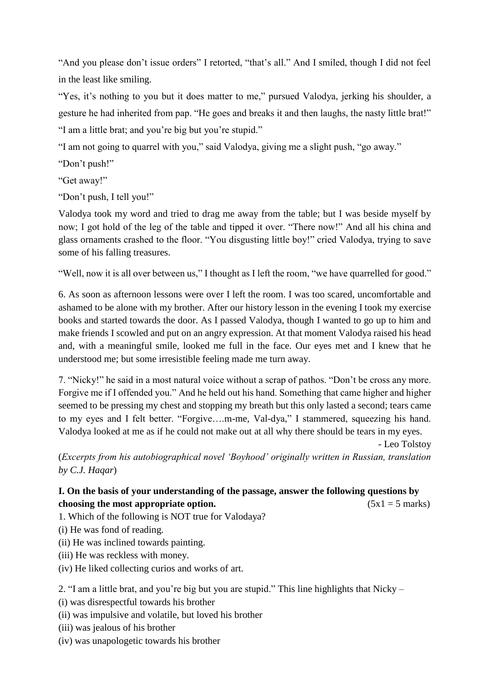"And you please don't issue orders" I retorted, "that's all." And I smiled, though I did not feel in the least like smiling.

"Yes, it's nothing to you but it does matter to me," pursued Valodya, jerking his shoulder, a gesture he had inherited from pap. "He goes and breaks it and then laughs, the nasty little brat!" "I am a little brat; and you're big but you're stupid."

"I am not going to quarrel with you," said Valodya, giving me a slight push, "go away."

"Don't push!"

"Get away!"

"Don't push, I tell you!"

Valodya took my word and tried to drag me away from the table; but I was beside myself by now; I got hold of the leg of the table and tipped it over. "There now!" And all his china and glass ornaments crashed to the floor. "You disgusting little boy!" cried Valodya, trying to save some of his falling treasures.

"Well, now it is all over between us," I thought as I left the room, "we have quarrelled for good."

6. As soon as afternoon lessons were over I left the room. I was too scared, uncomfortable and ashamed to be alone with my brother. After our history lesson in the evening I took my exercise books and started towards the door. As I passed Valodya, though I wanted to go up to him and make friends I scowled and put on an angry expression. At that moment Valodya raised his head and, with a meaningful smile, looked me full in the face. Our eyes met and I knew that he understood me; but some irresistible feeling made me turn away.

7. "Nicky!" he said in a most natural voice without a scrap of pathos. "Don't be cross any more. Forgive me if I offended you." And he held out his hand. Something that came higher and higher seemed to be pressing my chest and stopping my breath but this only lasted a second; tears came to my eyes and I felt better. "Forgive….m-me, Val-dya," I stammered, squeezing his hand. Valodya looked at me as if he could not make out at all why there should be tears in my eyes.

- Leo Tolstoy

(*Excerpts from his autobiographical novel 'Boyhood' originally written in Russian, translation by C.J. Haqar*)

## **I. On the basis of your understanding of the passage, answer the following questions by choosing the most appropriate option.**  $(5x1 = 5 \text{ marks})$

1. Which of the following is NOT true for Valodaya?

- (i) He was fond of reading.
- (ii) He was inclined towards painting.
- (iii) He was reckless with money.
- (iv) He liked collecting curios and works of art.

2. "I am a little brat, and you're big but you are stupid." This line highlights that Nicky –

- (i) was disrespectful towards his brother
- (ii) was impulsive and volatile, but loved his brother
- (iii) was jealous of his brother
- (iv) was unapologetic towards his brother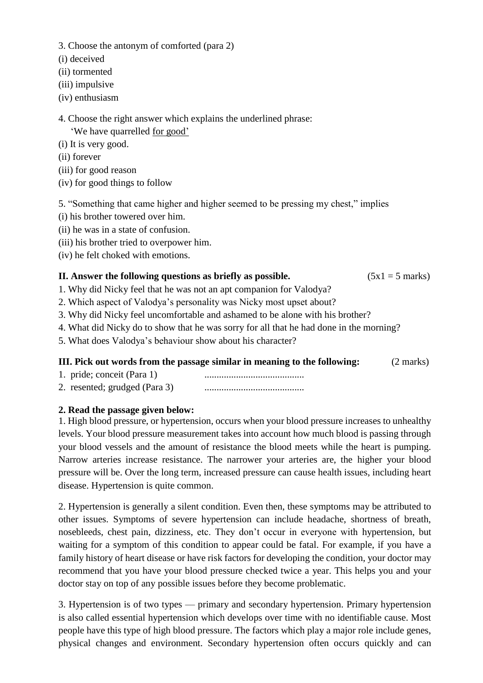3. Choose the antonym of comforted (para 2)

(i) deceived

(ii) tormented

(iii) impulsive

(iv) enthusiasm

4. Choose the right answer which explains the underlined phrase:

'We have quarrelled for good'

(i) It is very good.

(ii) forever

(iii) for good reason

(iv) for good things to follow

5. "Something that came higher and higher seemed to be pressing my chest," implies

(i) his brother towered over him.

(ii) he was in a state of confusion.

(iii) his brother tried to overpower him.

(iv) he felt choked with emotions.

## **II.** Answer the following questions as briefly as possible.  $(5x1 = 5 \text{ marks})$

1. Why did Nicky feel that he was not an apt companion for Valodya?

2. Which aspect of Valodya's personality was Nicky most upset about?

3. Why did Nicky feel uncomfortable and ashamed to be alone with his brother?

4. What did Nicky do to show that he was sorry for all that he had done in the morning?

5. What does Valodya's behaviour show about his character?

# **III. Pick out words from the passage similar in meaning to the following:** (2 marks)

- 1. pride; conceit (Para 1) .........................................
- 2. resented; grudged (Para 3) .........................................

# **2. Read the passage given below:**

1. High blood pressure, or hypertension, occurs when your blood pressure increases to unhealthy levels. Your blood pressure measurement takes into account how much blood is passing through your blood vessels and the amount of resistance the blood meets while the heart is pumping. Narrow arteries increase resistance. The narrower your arteries are, the higher your blood pressure will be. Over the long term, increased pressure can cause health issues, including heart disease. Hypertension is quite common.

2. Hypertension is generally a silent condition. Even then, these symptoms may be attributed to other issues. Symptoms of severe hypertension can include headache, shortness of breath, nosebleeds, chest pain, dizziness, etc. They don't occur in everyone with hypertension, but waiting for a symptom of this condition to appear could be fatal. For example, if you have a family history of heart disease or have risk factors for developing the condition, your doctor may recommend that you have your blood pressure checked twice a year. This helps you and your doctor stay on top of any possible issues before they become problematic.

3. Hypertension is of two types — primary and secondary hypertension. Primary hypertension is also called essential hypertension which develops over time with no identifiable cause. Most people have this type of high blood pressure. The factors which play a major role include genes, physical changes and environment. Secondary hypertension often occurs quickly and can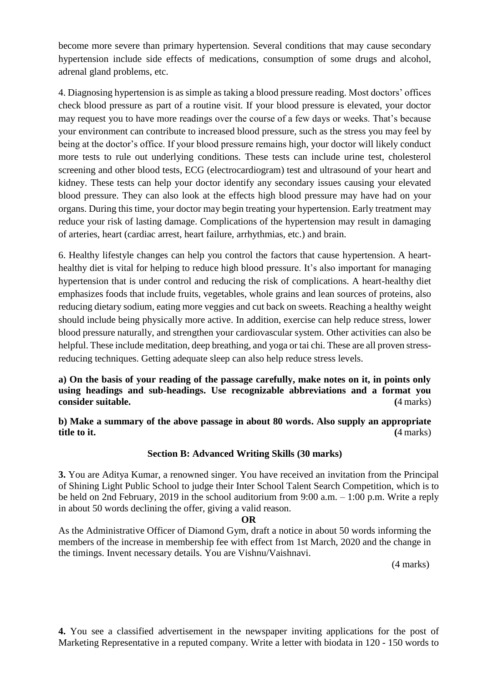become more severe than primary hypertension. Several conditions that may cause secondary hypertension include side effects of medications, consumption of some drugs and alcohol, adrenal gland problems, etc.

4. Diagnosing hypertension is as simple as taking a blood pressure reading. Most doctors' offices check blood pressure as part of a routine visit. If your blood pressure is elevated, your doctor may request you to have more readings over the course of a few days or weeks. That's because your environment can contribute to increased blood pressure, such as the stress you may feel by being at the doctor's office. If your blood pressure remains high, your doctor will likely conduct more tests to rule out underlying conditions. These tests can include urine test, cholesterol screening and other blood tests, ECG (electrocardiogram) test and ultrasound of your heart and kidney. These tests can help your doctor identify any secondary issues causing your elevated blood pressure. They can also look at the effects high blood pressure may have had on your organs. During this time, your doctor may begin treating your hypertension. Early treatment may reduce your risk of lasting damage. Complications of the hypertension may result in damaging of arteries, heart (cardiac arrest, heart failure, arrhythmias, etc.) and brain.

6. Healthy lifestyle changes can help you control the factors that cause hypertension. A hearthealthy diet is vital for helping to reduce high blood pressure. It's also important for managing hypertension that is under control and reducing the risk of complications. A heart-healthy diet emphasizes foods that include fruits, vegetables, whole grains and lean sources of proteins, also reducing dietary sodium, eating more veggies and cut back on sweets. Reaching a healthy weight should include being physically more active. In addition, exercise can help reduce stress, lower blood pressure naturally, and strengthen your cardiovascular system. Other activities can also be helpful. These include meditation, deep breathing, and yoga or tai chi. These are all proven stressreducing techniques. Getting adequate sleep can also help reduce stress levels.

**a) On the basis of your reading of the passage carefully, make notes on it, in points only using headings and sub-headings. Use recognizable abbreviations and a format you consider suitable.** (4 marks)

**b) Make a summary of the above passage in about 80 words. Also supply an appropriate title to it. (**4 marks)

# **Section B: Advanced Writing Skills (30 marks)**

**3.** You are Aditya Kumar, a renowned singer. You have received an invitation from the Principal of Shining Light Public School to judge their Inter School Talent Search Competition, which is to be held on 2nd February, 2019 in the school auditorium from 9:00 a.m. – 1:00 p.m. Write a reply in about 50 words declining the offer, giving a valid reason.

### **OR**

As the Administrative Officer of Diamond Gym, draft a notice in about 50 words informing the members of the increase in membership fee with effect from 1st March, 2020 and the change in the timings. Invent necessary details. You are Vishnu/Vaishnavi.

(4 marks)

**4.** You see a classified advertisement in the newspaper inviting applications for the post of Marketing Representative in a reputed company. Write a letter with biodata in 120 - 150 words to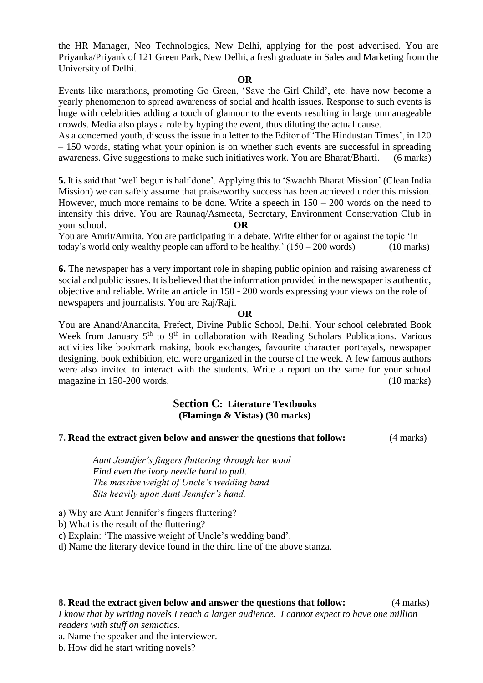the HR Manager, Neo Technologies, New Delhi, applying for the post advertised. You are Priyanka/Priyank of 121 Green Park, New Delhi, a fresh graduate in Sales and Marketing from the University of Delhi.

#### **OR**

Events like marathons, promoting Go Green, 'Save the Girl Child', etc. have now become a yearly phenomenon to spread awareness of social and health issues. Response to such events is huge with celebrities adding a touch of glamour to the events resulting in large unmanageable crowds. Media also plays a role by hyping the event, thus diluting the actual cause.

As a concerned youth, discuss the issue in a letter to the Editor of 'The Hindustan Times', in 120 – 150 words, stating what your opinion is on whether such events are successful in spreading awareness. Give suggestions to make such initiatives work. You are Bharat/Bharti.(6 marks)

**5.** It is said that 'well begun is half done'. Applying this to 'Swachh Bharat Mission' (Clean India Mission) we can safely assume that praiseworthy success has been achieved under this mission. However, much more remains to be done. Write a speech in  $150 - 200$  words on the need to intensify this drive. You are Raunaq/Asmeeta, Secretary, Environment Conservation Club in your school. **OR**

You are Amrit/Amrita. You are participating in a debate. Write either for or against the topic 'In today's world only wealthy people can afford to be healthy.'  $(150 - 200$  words) (10 marks)

**6.** The newspaper has a very important role in shaping public opinion and raising awareness of social and public issues. It is believed that the information provided in the newspaper is authentic, objective and reliable. Write an article in 150 - 200 words expressing your views on the role of newspapers and journalists. You are Raj/Raji.

#### **OR**

You are Anand/Anandita, Prefect, Divine Public School, Delhi. Your school celebrated Book Week from January  $5<sup>th</sup>$  to  $9<sup>th</sup>$  in collaboration with Reading Scholars Publications. Various activities like bookmark making, book exchanges, favourite character portrayals, newspaper designing, book exhibition, etc. were organized in the course of the week. A few famous authors were also invited to interact with the students. Write a report on the same for your school magazine in 150-200 words. (10 marks)

# **Section C: Literature Textbooks (Flamingo & Vistas) (30 marks)**

## **7. Read the extract given below and answer the questions that follow:** (4 marks)

*Aunt Jennifer's fingers fluttering through her wool Find even the ivory needle hard to pull. The massive weight of Uncle's wedding band Sits heavily upon Aunt Jennifer's hand.*

a) Why are Aunt Jennifer's fingers fluttering?

b) What is the result of the fluttering?

c) Explain: 'The massive weight of Uncle's wedding band'.

d) Name the literary device found in the third line of the above stanza.

### **8. Read the extract given below and answer the questions that follow:** (4 marks)

*I know that by writing novels I reach a larger audience. I cannot expect to have one million readers with stuff on semiotics*.

a. Name the speaker and the interviewer.

b. How did he start writing novels?